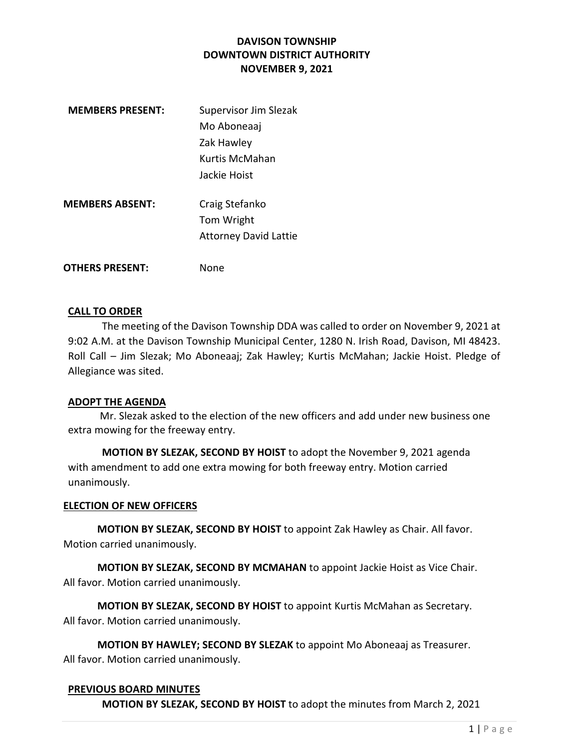| <b>MEMBERS PRESENT:</b> | Supervisor Jim Slezak        |
|-------------------------|------------------------------|
|                         | Mo Aboneaaj                  |
|                         | Zak Hawley                   |
|                         | Kurtis McMahan               |
|                         | Jackie Hoist                 |
| <b>MEMBERS ABSENT:</b>  |                              |
|                         | Craig Stefanko               |
|                         | Tom Wright                   |
|                         | <b>Attorney David Lattie</b> |
| <b>OTHERS PRESENT:</b>  | None                         |

## CALL TO ORDER

The meeting of the Davison Township DDA was called to order on November 9, 2021 at 9:02 A.M. at the Davison Township Municipal Center, 1280 N. Irish Road, Davison, MI 48423. Roll Call – Jim Slezak; Mo Aboneaaj; Zak Hawley; Kurtis McMahan; Jackie Hoist. Pledge of Allegiance was sited.

### ADOPT THE AGENDA

 Mr. Slezak asked to the election of the new officers and add under new business one extra mowing for the freeway entry.

MOTION BY SLEZAK, SECOND BY HOIST to adopt the November 9, 2021 agenda with amendment to add one extra mowing for both freeway entry. Motion carried unanimously.

### ELECTION OF NEW OFFICERS

MOTION BY SLEZAK, SECOND BY HOIST to appoint Zak Hawley as Chair. All favor. Motion carried unanimously.

MOTION BY SLEZAK, SECOND BY MCMAHAN to appoint Jackie Hoist as Vice Chair. All favor. Motion carried unanimously.

MOTION BY SLEZAK, SECOND BY HOIST to appoint Kurtis McMahan as Secretary. All favor. Motion carried unanimously.

MOTION BY HAWLEY; SECOND BY SLEZAK to appoint Mo Aboneaaj as Treasurer. All favor. Motion carried unanimously.

## PREVIOUS BOARD MINUTES

MOTION BY SLEZAK, SECOND BY HOIST to adopt the minutes from March 2, 2021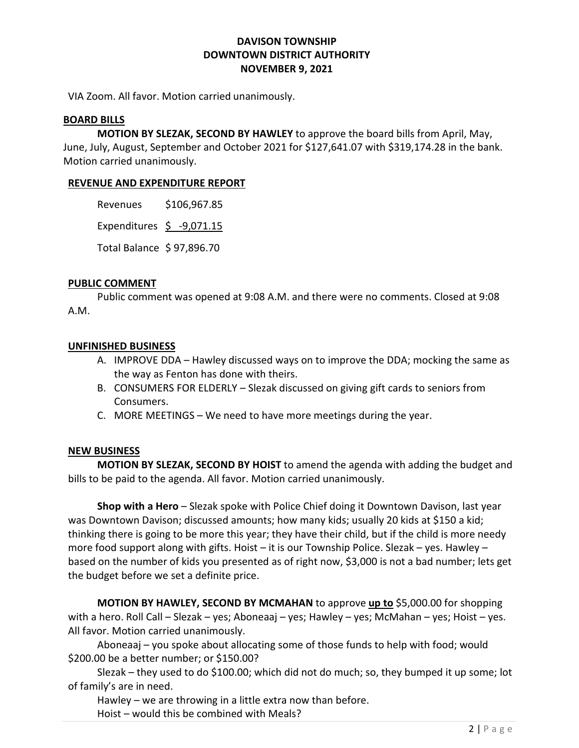VIA Zoom. All favor. Motion carried unanimously.

### BOARD BILLS

MOTION BY SLEZAK, SECOND BY HAWLEY to approve the board bills from April, May, June, July, August, September and October 2021 for \$127,641.07 with \$319,174.28 in the bank. Motion carried unanimously.

### REVENUE AND EXPENDITURE REPORT

Revenues \$106,967.85

Expenditures  $\leq$  -9,071.15

Total Balance \$ 97,896.70

### PUBLIC COMMENT

 Public comment was opened at 9:08 A.M. and there were no comments. Closed at 9:08 A.M.

### UNFINISHED BUSINESS

- A. IMPROVE DDA Hawley discussed ways on to improve the DDA; mocking the same as the way as Fenton has done with theirs.
- B. CONSUMERS FOR ELDERLY Slezak discussed on giving gift cards to seniors from Consumers.
- C. MORE MEETINGS We need to have more meetings during the year.

## NEW BUSINESS

 MOTION BY SLEZAK, SECOND BY HOIST to amend the agenda with adding the budget and bills to be paid to the agenda. All favor. Motion carried unanimously.

Shop with a Hero – Slezak spoke with Police Chief doing it Downtown Davison, last year was Downtown Davison; discussed amounts; how many kids; usually 20 kids at \$150 a kid; thinking there is going to be more this year; they have their child, but if the child is more needy more food support along with gifts. Hoist – it is our Township Police. Slezak – yes. Hawley – based on the number of kids you presented as of right now, \$3,000 is not a bad number; lets get the budget before we set a definite price.

MOTION BY HAWLEY, SECOND BY MCMAHAN to approve up to \$5,000.00 for shopping with a hero. Roll Call – Slezak – yes; Aboneaaj – yes; Hawley – yes; McMahan – yes; Hoist – yes. All favor. Motion carried unanimously.

Aboneaaj – you spoke about allocating some of those funds to help with food; would \$200.00 be a better number; or \$150.00?

 Slezak – they used to do \$100.00; which did not do much; so, they bumped it up some; lot of family's are in need.

Hawley – we are throwing in a little extra now than before.

Hoist – would this be combined with Meals?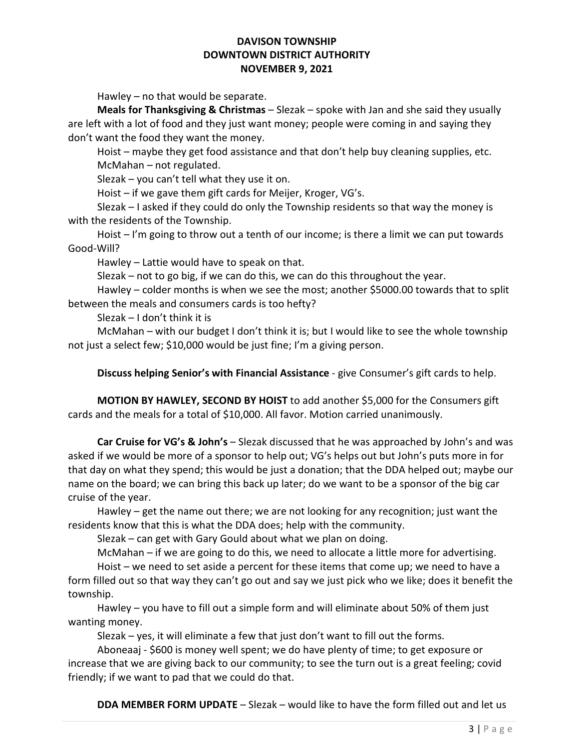Hawley – no that would be separate.

**Meals for Thanksgiving & Christmas** – Slezak – spoke with Jan and she said they usually are left with a lot of food and they just want money; people were coming in and saying they don't want the food they want the money.

 Hoist – maybe they get food assistance and that don't help buy cleaning supplies, etc. McMahan – not regulated.

Slezak – you can't tell what they use it on.

Hoist – if we gave them gift cards for Meijer, Kroger, VG's.

 Slezak – I asked if they could do only the Township residents so that way the money is with the residents of the Township.

 Hoist – I'm going to throw out a tenth of our income; is there a limit we can put towards Good-Will?

Hawley – Lattie would have to speak on that.

Slezak – not to go big, if we can do this, we can do this throughout the year.

 Hawley – colder months is when we see the most; another \$5000.00 towards that to split between the meals and consumers cards is too hefty?

Slezak – I don't think it is

 McMahan – with our budget I don't think it is; but I would like to see the whole township not just a select few; \$10,000 would be just fine; I'm a giving person.

Discuss helping Senior's with Financial Assistance - give Consumer's gift cards to help.

MOTION BY HAWLEY, SECOND BY HOIST to add another \$5,000 for the Consumers gift cards and the meals for a total of \$10,000. All favor. Motion carried unanimously.

Car Cruise for VG's & John's – Slezak discussed that he was approached by John's and was asked if we would be more of a sponsor to help out; VG's helps out but John's puts more in for that day on what they spend; this would be just a donation; that the DDA helped out; maybe our name on the board; we can bring this back up later; do we want to be a sponsor of the big car cruise of the year.

Hawley – get the name out there; we are not looking for any recognition; just want the residents know that this is what the DDA does; help with the community.

Slezak – can get with Gary Gould about what we plan on doing.

McMahan – if we are going to do this, we need to allocate a little more for advertising.

 Hoist – we need to set aside a percent for these items that come up; we need to have a form filled out so that way they can't go out and say we just pick who we like; does it benefit the township.

 Hawley – you have to fill out a simple form and will eliminate about 50% of them just wanting money.

Slezak – yes, it will eliminate a few that just don't want to fill out the forms.

 Aboneaaj - \$600 is money well spent; we do have plenty of time; to get exposure or increase that we are giving back to our community; to see the turn out is a great feeling; covid friendly; if we want to pad that we could do that.

DDA MEMBER FORM UPDATE – Slezak – would like to have the form filled out and let us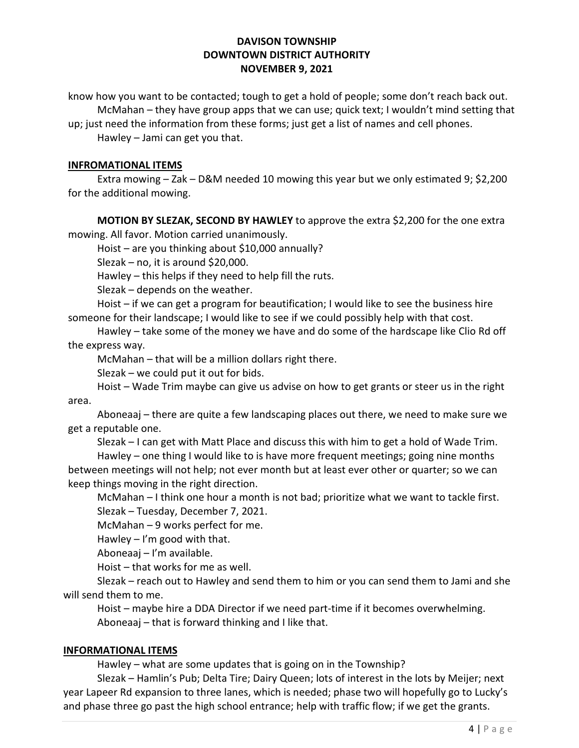know how you want to be contacted; tough to get a hold of people; some don't reach back out. McMahan – they have group apps that we can use; quick text; I wouldn't mind setting that

up; just need the information from these forms; just get a list of names and cell phones. Hawley – Jami can get you that.

# INFROMATIONAL ITEMS

 Extra mowing – Zak – D&M needed 10 mowing this year but we only estimated 9; \$2,200 for the additional mowing.

MOTION BY SLEZAK, SECOND BY HAWLEY to approve the extra \$2,200 for the one extra mowing. All favor. Motion carried unanimously.

Hoist – are you thinking about \$10,000 annually?

Slezak – no, it is around \$20,000.

Hawley – this helps if they need to help fill the ruts.

Slezak – depends on the weather.

 Hoist – if we can get a program for beautification; I would like to see the business hire someone for their landscape; I would like to see if we could possibly help with that cost.

 Hawley – take some of the money we have and do some of the hardscape like Clio Rd off the express way.

McMahan – that will be a million dollars right there.

Slezak – we could put it out for bids.

 Hoist – Wade Trim maybe can give us advise on how to get grants or steer us in the right area.

 Aboneaaj – there are quite a few landscaping places out there, we need to make sure we get a reputable one.

Slezak – I can get with Matt Place and discuss this with him to get a hold of Wade Trim.

 Hawley – one thing I would like to is have more frequent meetings; going nine months between meetings will not help; not ever month but at least ever other or quarter; so we can keep things moving in the right direction.

 McMahan – I think one hour a month is not bad; prioritize what we want to tackle first. Slezak – Tuesday, December 7, 2021.

McMahan – 9 works perfect for me.

Hawley  $-1$ 'm good with that.

Aboneaaj – I'm available.

Hoist – that works for me as well.

 Slezak – reach out to Hawley and send them to him or you can send them to Jami and she will send them to me.

 Hoist – maybe hire a DDA Director if we need part-time if it becomes overwhelming. Aboneaaj – that is forward thinking and I like that.

## INFORMATIONAL ITEMS

Hawley – what are some updates that is going on in the Township?

 Slezak – Hamlin's Pub; Delta Tire; Dairy Queen; lots of interest in the lots by Meijer; next year Lapeer Rd expansion to three lanes, which is needed; phase two will hopefully go to Lucky's and phase three go past the high school entrance; help with traffic flow; if we get the grants.